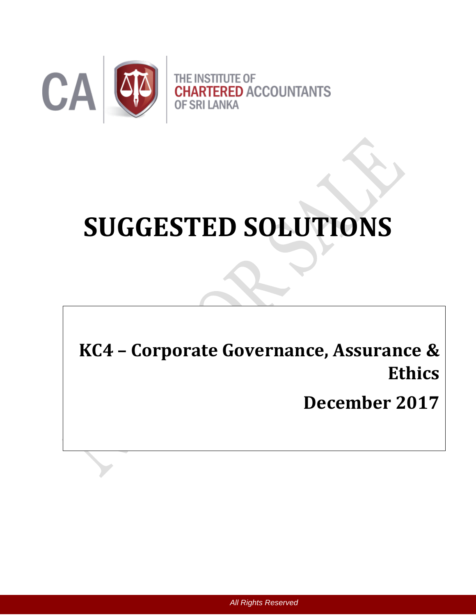

# **SUGGESTED SOLUTIONS**

**KC4 – Corporate Governance, Assurance & Ethics**

**December 2017**

*All Rights Reserved*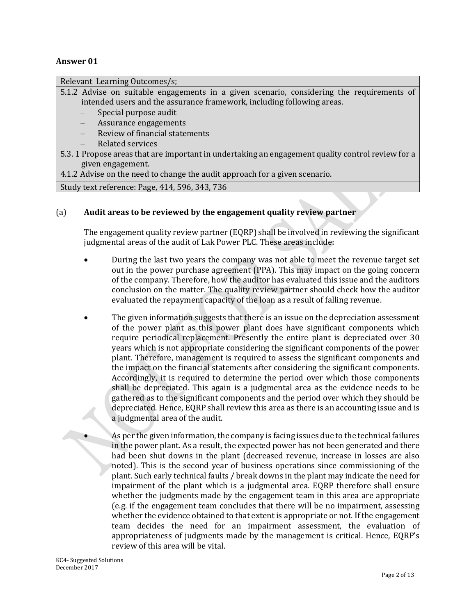## **Answer 01**

Relevant Learning Outcomes/s;

5.1.2 Advise on suitable engagements in a given scenario, considering the requirements of intended users and the assurance framework, including following areas.

- Special purpose audit
- Assurance engagements
- Review of financial statements
- Related services
- 5.3. 1 Propose areas that are important in undertaking an engagement quality control review for a given engagement.

4.1.2 Advise on the need to change the audit approach for a given scenario.

Study text reference: Page, 414, 596, 343, 736

## (a) **Audit areas to be reviewed by the engagement quality review partner**

The engagement quality review partner (EQRP) shall be involved in reviewing the significant judgmental areas of the audit of Lak Power PLC. These areas include:

- During the last two years the company was not able to meet the revenue target set out in the power purchase agreement (PPA). This may impact on the going concern of the company. Therefore, how the auditor has evaluated this issue and the auditors conclusion on the matter. The quality review partner should check how the auditor evaluated the repayment capacity of the loan as a result of falling revenue.
- The given information suggests that there is an issue on the depreciation assessment of the power plant as this power plant does have significant components which require periodical replacement. Presently the entire plant is depreciated over 30 years which is not appropriate considering the significant components of the power plant. Therefore, management is required to assess the significant components and the impact on the financial statements after considering the significant components. Accordingly, it is required to determine the period over which those components shall be depreciated. This again is a judgmental area as the evidence needs to be gathered as to the significant components and the period over which they should be depreciated. Hence, EQRP shall review this area as there is an accounting issue and is a judgmental area of the audit.
	- As per the given information, the company is facing issues due to the technical failures in the power plant. As a result, the expected power has not been generated and there had been shut downs in the plant (decreased revenue, increase in losses are also noted). This is the second year of business operations since commissioning of the plant. Such early technical faults / break downs in the plant may indicate the need for impairment of the plant which is a judgmental area. EQRP therefore shall ensure whether the judgments made by the engagement team in this area are appropriate (e.g. if the engagement team concludes that there will be no impairment, assessing whether the evidence obtained to that extent is appropriate or not. If the engagement team decides the need for an impairment assessment, the evaluation of appropriateness of judgments made by the management is critical. Hence, EQRP's review of this area will be vital.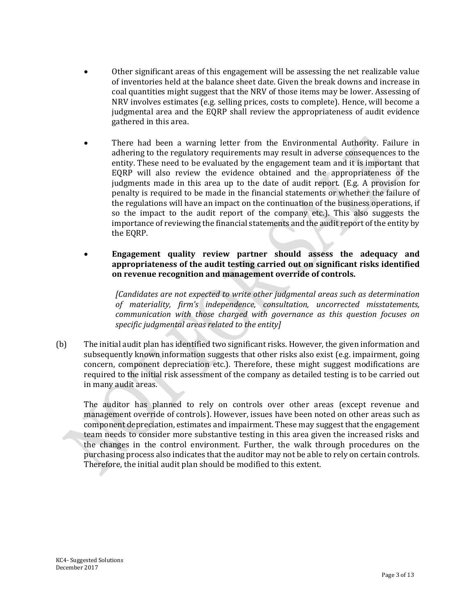- Other significant areas of this engagement will be assessing the net realizable value of inventories held at the balance sheet date. Given the break downs and increase in coal quantities might suggest that the NRV of those items may be lower. Assessing of NRV involves estimates (e.g. selling prices, costs to complete). Hence, will become a judgmental area and the EQRP shall review the appropriateness of audit evidence gathered in this area.
- There had been a warning letter from the Environmental Authority. Failure in adhering to the regulatory requirements may result in adverse consequences to the entity. These need to be evaluated by the engagement team and it is important that EQRP will also review the evidence obtained and the appropriateness of the judgments made in this area up to the date of audit report. (E.g. A provision for penalty is required to be made in the financial statements or whether the failure of the regulations will have an impact on the continuation of the business operations, if so the impact to the audit report of the company etc.). This also suggests the importance of reviewing the financial statements and the audit report of the entity by the EQRP.
- **Engagement quality review partner should assess the adequacy and appropriateness of the audit testing carried out on significant risks identified on revenue recognition and management override of controls.**

*[Candidates are not expected to write other judgmental areas such as determination of materiality, firm's independence, consultation, uncorrected misstatements, communication with those charged with governance as this question focuses on specific judgmental areas related to the entity]*

(b) The initial audit plan has identified two significant risks. However, the given information and subsequently known information suggests that other risks also exist (e.g. impairment, going concern, component depreciation etc.). Therefore, these might suggest modifications are required to the initial risk assessment of the company as detailed testing is to be carried out in many audit areas.

The auditor has planned to rely on controls over other areas (except revenue and management override of controls). However, issues have been noted on other areas such as component depreciation, estimates and impairment. These may suggest that the engagement team needs to consider more substantive testing in this area given the increased risks and the changes in the control environment. Further, the walk through procedures on the purchasing process also indicates that the auditor may not be able to rely on certain controls. Therefore, the initial audit plan should be modified to this extent.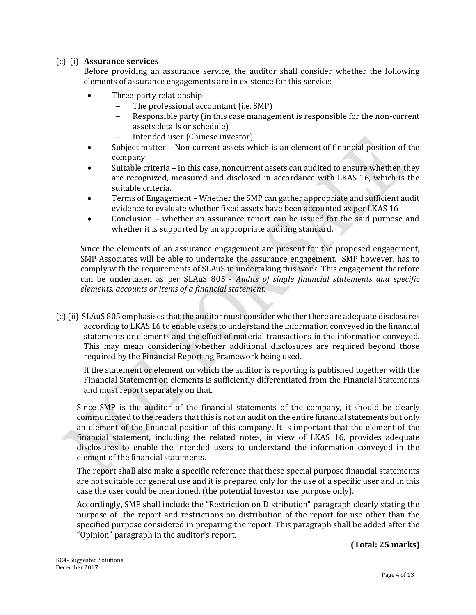## (c) (i) **Assurance services**

Before providing an assurance service, the auditor shall consider whether the following elements of assurance engagements are in existence for this service:

- Three-party relationship
	- The professional accountant (i.e. SMP)
	- Responsible party (in this case management is responsible for the non-current assets details or schedule)
	- Intended user (Chinese investor)
- Subject matter Non-current assets which is an element of financial position of the company
- Suitable criteria In this case, noncurrent assets can audited to ensure whether they are recognized, measured and disclosed in accordance with LKAS 16, which is the suitable criteria.
- Terms of Engagement Whether the SMP can gather appropriate and sufficient audit evidence to evaluate whether fixed assets have been accounted as per LKAS 16
- Conclusion whether an assurance report can be issued for the said purpose and whether it is supported by an appropriate auditing standard.

Since the elements of an assurance engagement are present for the proposed engagement, SMP Associates will be able to undertake the assurance engagement. SMP however, has to comply with the requirements of SLAuS in undertaking this work. This engagement therefore can be undertaken as per SLAuS 805 - *Audits of single financial statements and specific elements, accounts or items of a financial statement.* 

(c)(ii) SLAuS 805 emphasises that the auditor must consider whether there are adequate disclosures according to LKAS 16 to enable users to understand the information conveyed in the financial statements or elements and the effect of material transactions in the information conveyed. This may mean considering whether additional disclosures are required beyond those required by the Financial Reporting Framework being used.

If the statement or element on which the auditor is reporting is published together with the Financial Statement on elements is sufficiently differentiated from the Financial Statements and must report separately on that.

Since SMP is the auditor of the financial statements of the company, it should be clearly communicated to the readers that this is not an audit on the entire financial statements but only an element of the financial position of this company. It is important that the element of the financial statement, including the related notes, in view of LKAS 16, provides adequate disclosures to enable the intended users to understand the information conveyed in the element of the financial statements**.**

The report shall also make a specific reference that these special purpose financial statements are not suitable for general use and it is prepared only for the use of a specific user and in this case the user could be mentioned. (the potential Investor use purpose only).

Accordingly, SMP shall include the "Restriction on Distribution" paragraph clearly stating the purpose of the report and restrictions on distribution of the report for use other than the specified purpose considered in preparing the report. This paragraph shall be added after the "Opinion" paragraph in the auditor's report.

**(Total: 25 marks)**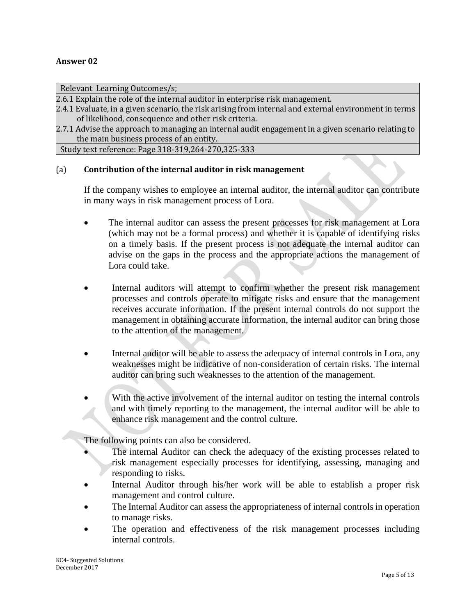#### **Answer 02**

Relevant Learning Outcomes/s;

2.6.1 Explain the role of the internal auditor in enterprise risk management.

2.4.1 Evaluate, in a given scenario, the risk arising from internal and external environment in terms of likelihood, consequence and other risk criteria.

2.7.1 Advise the approach to managing an internal audit engagement in a given scenario relating to the main business process of an entity.

Study text reference: Page 318-319,264-270,325-333

## (a) **Contribution of the internal auditor in risk management**

If the company wishes to employee an internal auditor, the internal auditor can contribute in many ways in risk management process of Lora.

- The internal auditor can assess the present processes for risk management at Lora (which may not be a formal process) and whether it is capable of identifying risks on a timely basis. If the present process is not adequate the internal auditor can advise on the gaps in the process and the appropriate actions the management of Lora could take.
- Internal auditors will attempt to confirm whether the present risk management processes and controls operate to mitigate risks and ensure that the management receives accurate information. If the present internal controls do not support the management in obtaining accurate information, the internal auditor can bring those to the attention of the management.
- Internal auditor will be able to assess the adequacy of internal controls in Lora, any weaknesses might be indicative of non-consideration of certain risks. The internal auditor can bring such weaknesses to the attention of the management.
- With the active involvement of the internal auditor on testing the internal controls and with timely reporting to the management, the internal auditor will be able to enhance risk management and the control culture.

The following points can also be considered.

- The internal Auditor can check the adequacy of the existing processes related to risk management especially processes for identifying, assessing, managing and responding to risks.
- Internal Auditor through his/her work will be able to establish a proper risk management and control culture.
- The Internal Auditor can assess the appropriateness of internal controls in operation to manage risks.
- The operation and effectiveness of the risk management processes including internal controls.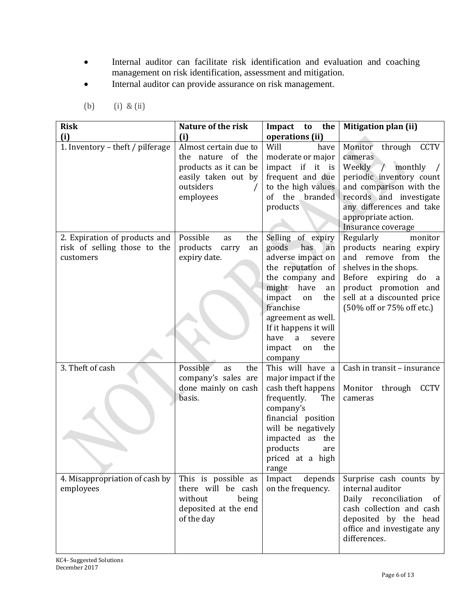- Internal auditor can facilitate risk identification and evaluation and coaching management on risk identification, assessment and mitigation.
- Internal auditor can provide assurance on risk management.

| <b>Risk</b>                                                   | Nature of the risk                                                                                                          | Impact to the                                                                                                                                                                                                                | Mitigation plan (ii)                                                                                                                                                                    |
|---------------------------------------------------------------|-----------------------------------------------------------------------------------------------------------------------------|------------------------------------------------------------------------------------------------------------------------------------------------------------------------------------------------------------------------------|-----------------------------------------------------------------------------------------------------------------------------------------------------------------------------------------|
| (i)<br>1. Inventory - theft / pilferage                       | (i)<br>Almost certain due to<br>the nature of the<br>products as it can be<br>easily taken out by<br>outsiders<br>employees | operations (ii)<br>Will<br>have<br>moderate or major<br>impact if it is<br>frequent and due<br>to the high values<br>of the branded<br>products                                                                              | through CCTV<br>Monitor<br>cameras<br>Weekly / monthly<br>periodic inventory count<br>and comparison with the<br>records and investigate<br>any differences and take                    |
| 2. Expiration of products and<br>risk of selling those to the | Possible<br>the<br>as<br>products<br>carry<br>an                                                                            | Selling of expiry<br>goods has<br>an                                                                                                                                                                                         | appropriate action.<br>Insurance coverage<br>Regularly<br>monitor<br>products nearing expiry                                                                                            |
| customers                                                     | expiry date.                                                                                                                | adverse impact on<br>the reputation of<br>the company and<br>have<br>might<br>an<br>impact<br>the<br>on<br>franchise<br>agreement as well.<br>If it happens it will<br>have<br>a<br>severe<br>the<br>impact<br>on<br>company | and remove from the<br>shelves in the shops.<br>Before<br>expiring do<br><sub>a</sub><br>product promotion and<br>sell at a discounted price<br>(50% off or 75% off etc.)               |
| 3. Theft of cash                                              | Possible<br>the<br>as<br>company's sales are<br>done mainly on cash<br>basis.                                               | This will have a<br>major impact if the<br>cash theft happens<br>frequently.<br>The<br>company's<br>financial position<br>will be negatively<br>impacted as the<br>products<br>are<br>priced at a high<br>range              | Cash in transit - insurance<br>Monitor<br>through<br><b>CCTV</b><br>cameras                                                                                                             |
| 4. Misappropriation of cash by<br>employees                   | This is possible as<br>there will be cash<br>without<br>being<br>deposited at the end<br>of the day                         | Impact<br>depends<br>on the frequency.                                                                                                                                                                                       | Surprise cash counts by<br>internal auditor<br>Daily reconciliation<br><sub>of</sub><br>cash collection and cash<br>deposited by the head<br>office and investigate any<br>differences. |

(b) (i) & (ii)

KC4- Suggested Solutions December 2017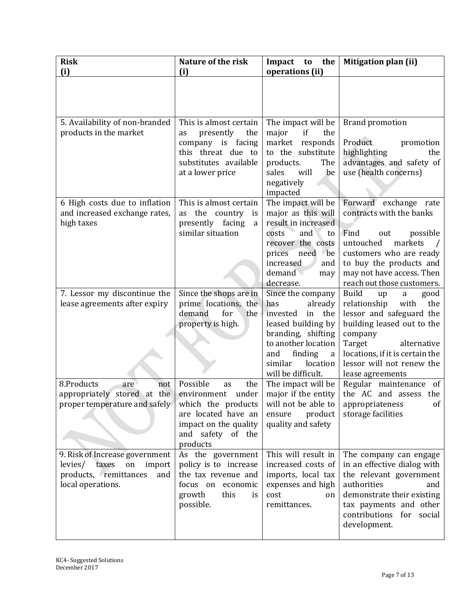| <b>Risk</b><br>(i)                                                                                                          | Nature of the risk<br>(i)                                                                                                                | the<br>Impact<br>to<br>operations (ii)                                                                                                                                                              | Mitigation plan (ii)                                                                                                                                                                                                                             |
|-----------------------------------------------------------------------------------------------------------------------------|------------------------------------------------------------------------------------------------------------------------------------------|-----------------------------------------------------------------------------------------------------------------------------------------------------------------------------------------------------|--------------------------------------------------------------------------------------------------------------------------------------------------------------------------------------------------------------------------------------------------|
|                                                                                                                             |                                                                                                                                          |                                                                                                                                                                                                     |                                                                                                                                                                                                                                                  |
| 5. Availability of non-branded<br>products in the market                                                                    | This is almost certain<br>presently<br>as<br>the<br>company is facing<br>this threat due to<br>substitutes available<br>at a lower price | The impact will be<br>major<br>if<br>the<br>market responds<br>to the substitute<br>The<br>products.<br>be<br>sales<br>will<br>negatively<br>impacted                                               | <b>Brand promotion</b><br>Product<br>promotion<br>highlighting<br>the<br>advantages and safety of<br>use (health concerns)                                                                                                                       |
| 6 High costs due to inflation<br>and increased exchange rates,<br>high taxes                                                | This is almost certain<br>the country<br>as<br>is<br>presently facing<br>a<br>similar situation                                          | The impact will be<br>major as this will<br>result in increased<br>and<br>costs<br>to<br>recover the costs<br>need be<br>prices<br>increased<br>and<br>demand<br>may<br>decrease.                   | Forward exchange rate<br>contracts with the banks<br>Find<br>out<br>possible<br>markets<br>untouched<br>customers who are ready<br>to buy the products and<br>may not have access. Then<br>reach out those customers.                            |
| 7. Lessor my discontinue the<br>lease agreements after expiry                                                               | Since the shops are in<br>prime locations, the<br>demand<br>for<br>the<br>property is high.                                              | Since the company<br>already<br>has<br>invested<br>the<br>in<br>leased building by<br>branding, shifting<br>to another location<br>finding<br>and<br>a<br>similar<br>location<br>will be difficult. | <b>Build</b><br>up<br>good<br>a<br>relationship<br>the<br>with<br>lessor and safeguard the<br>building leased out to the<br>company<br>Target<br>alternative<br>locations, if it is certain the<br>lessor will not renew the<br>lease agreements |
| 8.Products<br>are<br>not<br>appropriately stored at the<br>proper temperature and safely $\vert$ which the products $\vert$ | Possible<br>the<br>as<br>environment under<br>are located have an<br>impact on the quality<br>and safety of the<br>products              | The impact will be<br>major if the entity<br>will not be able to<br>product<br>ensure<br>quality and safety                                                                                         | Regular maintenance of<br>the AC and assess the<br>appropriateness<br>of<br>storage facilities                                                                                                                                                   |
| 9. Risk of Increase government<br>levies/ taxes<br>on<br>import<br>products, remittances<br>and<br>local operations.        | As the government<br>policy is to increase<br>the tax revenue and<br>focus on economic<br>growth<br>this<br>is<br>possible.              | This will result in<br>increased costs of<br>imports, local tax<br>expenses and high<br>cost<br>on<br>remittances.                                                                                  | The company can engage<br>in an effective dialog with<br>the relevant government<br>authorities<br>and<br>demonstrate their existing<br>tax payments and other<br>contributions for social<br>development.                                       |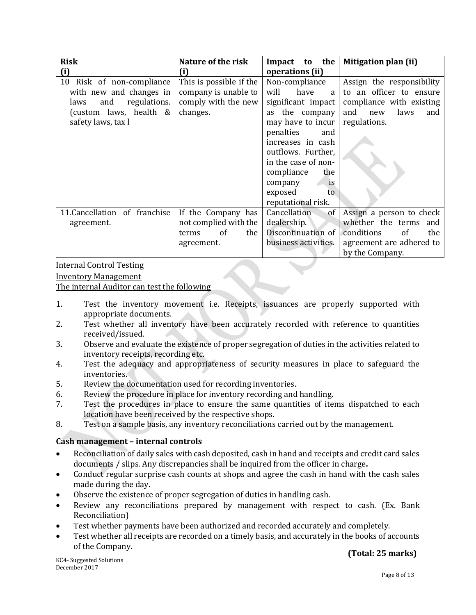| <b>Risk</b>                   | Nature of the risk      | Impact to the        | <b>Mitigation plan (ii)</b>        |
|-------------------------------|-------------------------|----------------------|------------------------------------|
| (i)                           | (i)                     | operations (ii)      |                                    |
| 10<br>Risk of non-compliance  | This is possible if the | Non-compliance       | Assign the responsibility          |
| with new and changes in       | company is unable to    | will<br>have<br>a    | to an officer to ensure            |
| regulations.<br>and<br>laws   | comply with the new     | significant impact   | compliance with existing           |
| (custom laws, health &        | changes.                | as the company       | and<br>laws<br>new<br>and          |
| safety laws, tax l            |                         | may have to incur    | regulations.                       |
|                               |                         | penalties<br>and     |                                    |
|                               |                         | increases in cash    |                                    |
|                               |                         | outflows. Further,   |                                    |
|                               |                         | in the case of non-  |                                    |
|                               |                         | compliance<br>the    |                                    |
|                               |                         | is<br>company        |                                    |
|                               |                         | exposed<br>to        |                                    |
|                               |                         | reputational risk.   |                                    |
| 11. Cancellation of franchise | If the Company has      | Cancellation<br>of   | Assign a person to check           |
| agreement.                    | not complied with the   | dealership.          | whether the terms and              |
|                               | of<br>the<br>terms      | Discontinuation of   | conditions<br><sub>of</sub><br>the |
|                               | agreement.              | business activities. | agreement are adhered to           |
|                               |                         |                      | by the Company.                    |

Internal Control Testing

## Inventory Management

The internal Auditor can test the following

- 1. Test the inventory movement i.e. Receipts, issuances are properly supported with appropriate documents.
- 2. Test whether all inventory have been accurately recorded with reference to quantities received/issued.
- 3. Observe and evaluate the existence of proper segregation of duties in the activities related to inventory receipts, recording etc.
- 4. Test the adequacy and appropriateness of security measures in place to safeguard the inventories.
- 5. Review the documentation used for recording inventories.
- 6. Review the procedure in place for inventory recording and handling.
- 7. Test the procedures in place to ensure the same quantities of items dispatched to each location have been received by the respective shops.
- 8. Test on a sample basis, any inventory reconciliations carried out by the management.

## **Cash management – internal controls**

- Reconciliation of daily sales with cash deposited, cash in hand and receipts and credit card sales documents / slips. Any discrepancies shall be inquired from the officer in charge**.**
- Conduct regular surprise cash counts at shops and agree the cash in hand with the cash sales made during the day.
- Observe the existence of proper segregation of duties in handling cash.
- Review any reconciliations prepared by management with respect to cash. (Ex. Bank Reconciliation)
- Test whether payments have been authorized and recorded accurately and completely.
- Test whether all receipts are recorded on a timely basis, and accurately in the books of accounts of the Company.

KC4- Suggested Solutions December 2017

## **(Total: 25 marks)**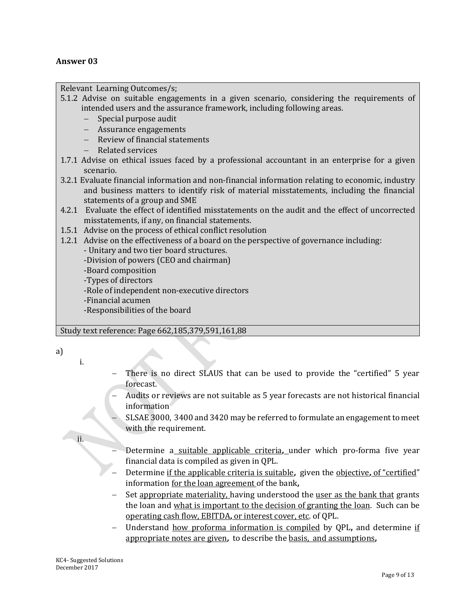## **Answer 03**

Relevant Learning Outcomes/s;

- 5.1.2 Advise on suitable engagements in a given scenario, considering the requirements of intended users and the assurance framework, including following areas.
	- Special purpose audit
	- Assurance engagements
	- Review of financial statements
	- Related services
- 1.7.1 Advise on ethical issues faced by a professional accountant in an enterprise for a given scenario.
- 3.2.1 Evaluate financial information and non-financial information relating to economic, industry and business matters to identify risk of material misstatements, including the financial statements of a group and SME
- 4.2.1 Evaluate the effect of identified misstatements on the audit and the effect of uncorrected misstatements, if any, on financial statements.
- 1.5.1 Advise on the process of ethical conflict resolution
- 1.2.1 Advise on the effectiveness of a board on the perspective of governance including:

- Unitary and two tier board structures.

-Division of powers (CEO and chairman)

-Board composition

-Types of directors

-Role of independent non-executive directors

-Financial acumen

-Responsibilities of the board

## Study text reference: Page 662,185,379,591,161,88

a)

i.

ii.

- There is no direct SLAUS that can be used to provide the "certified" 5 year forecast.
- Audits or reviews are not suitable as 5 year forecasts are not historical financial information
- SLSAE 3000, 3400 and 3420 may be referred to formulate an engagement to meet with the requirement.
- Determine a suitable applicable criteria**,** under which pro-forma five year financial data is compiled as given in QPL.
- Determine if the applicable criteria is suitable**,** given the objective**,** of "certified" information for the loan agreement of the bank**,**
- Set appropriate materiality, having understood the user as the bank that grants the loan and what is important to the decision of granting the loan. Such can be operating cash flow, EBITDA**,** or interest cover, etc. of QPL.
- Understand how proforma information is compiled by QPL**,** and determine if appropriate notes are given**,** to describe the basis, and assumptions**,**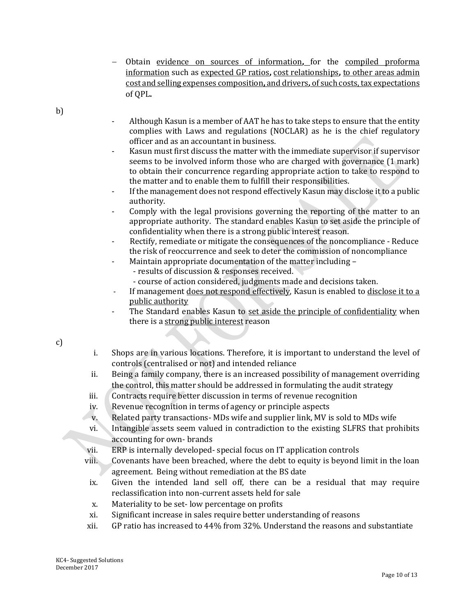- Obtain evidence on sources of information**,** for the compiled proforma information such as expected GP ratios**,** cost relationships**,** to other areas admin cost and selling expenses composition**,** and drivers**,** of such costs, tax expectations of QPL**.**
- b)
- Although Kasun is a member of AAT he has to take steps to ensure that the entity complies with Laws and regulations (NOCLAR) as he is the chief regulatory officer and as an accountant in business.
- Kasun must first discuss the matter with the immediate supervisor if supervisor seems to be involved inform those who are charged with governance (1 mark) to obtain their concurrence regarding appropriate action to take to respond to the matter and to enable them to fulfill their responsibilities.
- If the management does not respond effectively Kasun may disclose it to a public authority.
- Comply with the legal provisions governing the reporting of the matter to an appropriate authority. The standard enables Kasun to set aside the principle of confidentiality when there is a strong public interest reason.
- Rectify, remediate or mitigate the consequences of the noncompliance Reduce the risk of reoccurrence and seek to deter the commission of noncompliance
- Maintain appropriate documentation of the matter including -
	- results of discussion & responses received.
	- course of action considered, judgments made and decisions taken.
- If management does not respond effectively, Kasun is enabled to disclose it to a public authority
- The Standard enables Kasun to set aside the principle of confidentiality when there is a strong public interest reason

c)

- i. Shops are in various locations. Therefore, it is important to understand the level of controls (centralised or not) and intended reliance
- ii. Being a family company, there is an increased possibility of management overriding the control, this matter should be addressed in formulating the audit strategy
- iii. Contracts require better discussion in terms of revenue recognition
- iv. Revenue recognition in terms of agency or principle aspects
- v. Related party transactions- MDs wife and supplier link, MV is sold to MDs wife
- vi. Intangible assets seem valued in contradiction to the existing SLFRS that prohibits accounting for own- brands
- vii. ERP is internally developed- special focus on IT application controls
- viii. Covenants have been breached, where the debt to equity is beyond limit in the loan agreement. Being without remediation at the BS date
- ix. Given the intended land sell off, there can be a residual that may require reclassification into non-current assets held for sale
- x. Materiality to be set- low percentage on profits
- xi. Significant increase in sales require better understanding of reasons
- xii. GP ratio has increased to 44% from 32%. Understand the reasons and substantiate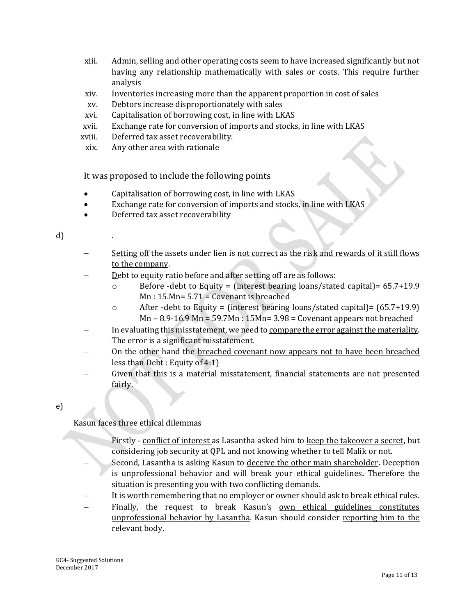- xiii. Admin, selling and other operating costs seem to have increased significantly but not having any relationship mathematically with sales or costs. This require further analysis
- xiv. Inventories increasing more than the apparent proportion in cost of sales
- xv. Debtors increase disproportionately with sales
- xvi. Capitalisation of borrowing cost, in line with LKAS
- xvii. Exchange rate for conversion of imports and stocks, in line with LKAS
- xviii. Deferred tax asset recoverability.
- xix. Any other area with rationale

It was proposed to include the following points

- Capitalisation of borrowing cost, in line with LKAS
- Exchange rate for conversion of imports and stocks, in line with LKAS
- Deferred tax asset recoverability

#### d)

- Setting off the assets under lien is not correct as the risk and rewards of it still flows to the company.
- Debt to equity ratio before and after setting off are as follows:
	- o Before -debt to Equity = (interest bearing loans/stated capital)= 65.7+19.9  $Mn: 15.Mn= 5.71 = Covenant is breeded$
	- $\circ$  After -debt to Equity = (interest bearing loans/stated capital)= (65.7+19.9) Mn – 8.9-16.9 Mn = 59.7Mn : 15Mn= 3.98 = Covenant appears not breached
- In evaluating this misstatement, we need to compare the error against the materiality. The error is a significant misstatement.
- On the other hand the breached covenant now appears not to have been breached less than Debt : Equity of 4:1)
- Given that this is a material misstatement, financial statements are not presented fairly.

## e)

Kasun faces three ethical dilemmas

- Firstly conflict of interest as Lasantha asked him to keep the takeover a secret**,** but considering job security at QPL and not knowing whether to tell Malik or not.
- Second, Lasantha is asking Kasun to deceive the other main shareholder**.** Deception is unprofessional behavior and will break your ethical guidelines**.** Therefore the situation is presenting you with two conflicting demands.
- It is worth remembering that no employer or owner should ask to break ethical rules.
- Finally, the request to break Kasun's <u>own ethical guidelines constitutes</u> unprofessional behavior by Lasantha. Kasun should consider reporting him to the relevant body.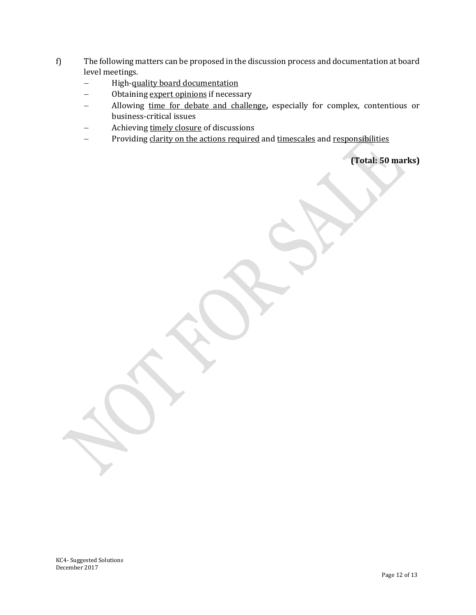- f) The following matters can be proposed in the discussion process and documentation at board level meetings.
	- High-quality board documentation
	- Obtaining expert opinions if necessary
	- Allowing time for debate and challenge**,** especially for complex, contentious or business-critical issues
	- Achieving timely closure of discussions
	- Providing clarity on the actions required and timescales and responsibilities

**(Total: 50 marks)**